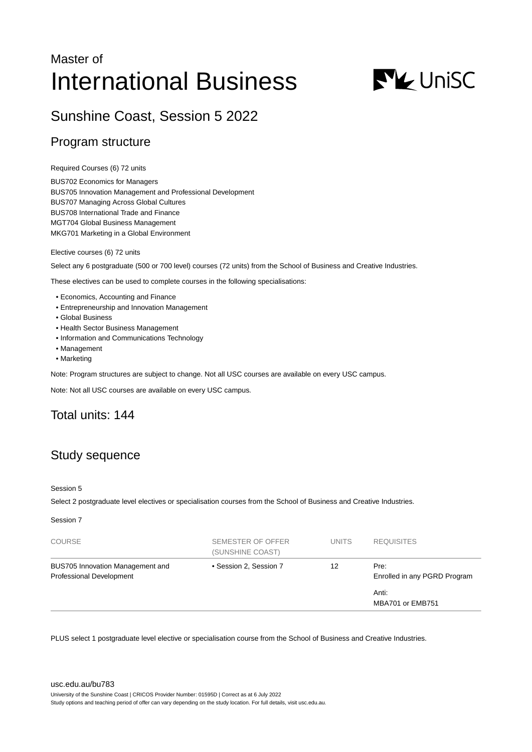# Master of International Business



## Sunshine Coast, Session 5 2022

### Program structure

Required Courses (6) 72 units

BUS702 Economics for Managers BUS705 Innovation Management and Professional Development BUS707 Managing Across Global Cultures BUS708 International Trade and Finance MGT704 Global Business Management MKG701 Marketing in a Global Environment

Elective courses (6) 72 units

Select any 6 postgraduate (500 or 700 level) courses (72 units) from the School of Business and Creative Industries.

These electives can be used to complete courses in the following specialisations:

- Economics, Accounting and Finance
- Entrepreneurship and Innovation Management
- Global Business
- Health Sector Business Management
- Information and Communications Technology
- Management
- Marketing

Note: Program structures are subject to change. Not all USC courses are available on every USC campus.

Note: Not all USC courses are available on every USC campus.

## Total units: 144

## Study sequence

#### Session 5

Select 2 postgraduate level electives or specialisation courses from the School of Business and Creative Industries.

Session 7

| <b>COURSE</b>                                                | SEMESTER OF OFFER<br>(SUNSHINE COAST) | <b>UNITS</b> | <b>REQUISITES</b>                    |
|--------------------------------------------------------------|---------------------------------------|--------------|--------------------------------------|
| BUS705 Innovation Management and<br>Professional Development | • Session 2, Session 7                | 12           | Pre:<br>Enrolled in any PGRD Program |
|                                                              |                                       |              | Anti:<br>MBA701 or EMB751            |

PLUS select 1 postgraduate level elective or specialisation course from the School of Business and Creative Industries.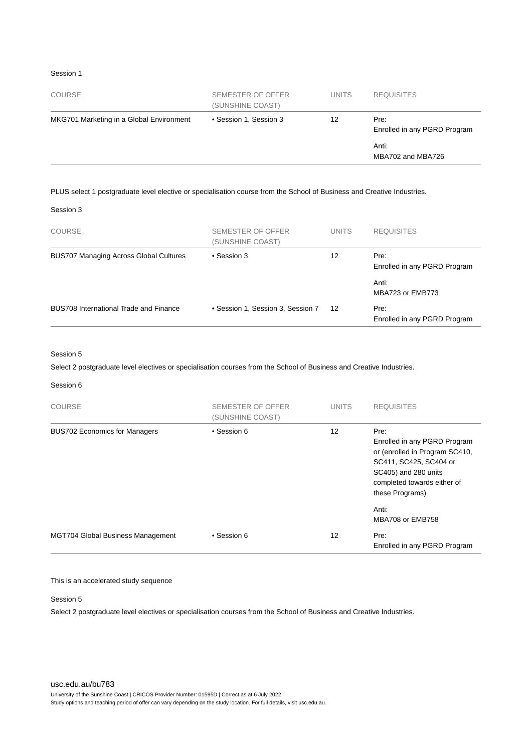#### Session 1

| <b>COURSE</b>                            | SEMESTER OF OFFER<br>(SUNSHINE COAST) | <b>UNITS</b> | <b>REQUISITES</b>                    |
|------------------------------------------|---------------------------------------|--------------|--------------------------------------|
| MKG701 Marketing in a Global Environment | • Session 1, Session 3                | 12           | Pre:<br>Enrolled in any PGRD Program |
|                                          |                                       |              | Anti:<br>MBA702 and MBA726           |

#### PLUS select 1 postgraduate level elective or specialisation course from the School of Business and Creative Industries.

| Session 3 |  |
|-----------|--|
|-----------|--|

| <b>COURSE</b>                                 | SEMESTER OF OFFER<br>(SUNSHINE COAST) | <b>UNITS</b> | <b>REQUISITES</b>                    |
|-----------------------------------------------|---------------------------------------|--------------|--------------------------------------|
| <b>BUS707 Managing Across Global Cultures</b> | • Session 3                           | 12           | Pre:<br>Enrolled in any PGRD Program |
|                                               |                                       |              | Anti:<br>MBA723 or EMB773            |
| BUS708 International Trade and Finance        | • Session 1, Session 3, Session 7     | 12           | Pre:<br>Enrolled in any PGRD Program |

#### Session 5

Select 2 postgraduate level electives or specialisation courses from the School of Business and Creative Industries.

#### Session 6

| COURSE                               | <b>SEMESTER OF OFFER</b><br>(SUNSHINE COAST) | <b>UNITS</b> | <b>REQUISITES</b>                                                                                                                                                                   |
|--------------------------------------|----------------------------------------------|--------------|-------------------------------------------------------------------------------------------------------------------------------------------------------------------------------------|
| <b>BUS702 Economics for Managers</b> | • Session 6                                  | 12           | Pre:<br>Enrolled in any PGRD Program<br>or (enrolled in Program SC410,<br>SC411, SC425, SC404 or<br>SC405) and 280 units<br>completed towards either of<br>these Programs)<br>Anti: |
|                                      |                                              |              | MBA708 or EMB758                                                                                                                                                                    |
| MGT704 Global Business Management    | • Session 6                                  | 12           | Pre:<br>Enrolled in any PGRD Program                                                                                                                                                |

#### This is an accelerated study sequence

#### Session 5

Select 2 postgraduate level electives or specialisation courses from the School of Business and Creative Industries.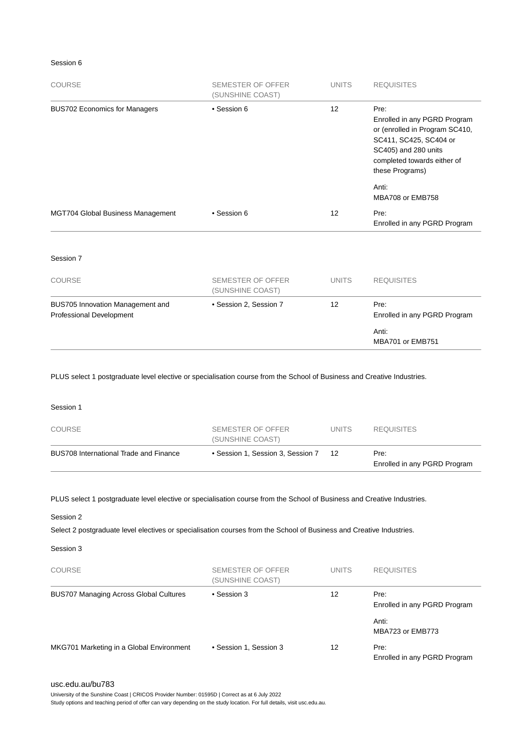#### Session 6

| <b>COURSE</b>                            | SEMESTER OF OFFER<br>(SUNSHINE COAST) | <b>UNITS</b>      | <b>REQUISITES</b>                                                                                                                                                          |
|------------------------------------------|---------------------------------------|-------------------|----------------------------------------------------------------------------------------------------------------------------------------------------------------------------|
| <b>BUS702 Economics for Managers</b>     | • Session 6                           | 12                | Pre:<br>Enrolled in any PGRD Program<br>or (enrolled in Program SC410,<br>SC411, SC425, SC404 or<br>SC405) and 280 units<br>completed towards either of<br>these Programs) |
|                                          |                                       |                   | Anti:<br>MBA708 or EMB758                                                                                                                                                  |
| <b>MGT704 Global Business Management</b> | • Session 6                           | $12 \overline{ }$ | Pre:<br>Enrolled in any PGRD Program                                                                                                                                       |
| Session 7                                |                                       |                   |                                                                                                                                                                            |
| <b>COURSE</b>                            | <b>SEMESTER OF OFFER</b>              | <b>UNITS</b>      | <b>REQUISITES</b>                                                                                                                                                          |

|                                                              | (SUNSHINE COAST)       |    |                                      |
|--------------------------------------------------------------|------------------------|----|--------------------------------------|
| BUS705 Innovation Management and<br>Professional Development | • Session 2, Session 7 | 12 | Pre:<br>Enrolled in any PGRD Program |
|                                                              |                        |    | Anti:<br>MBA701 or EMB751            |

PLUS select 1 postgraduate level elective or specialisation course from the School of Business and Creative Industries.

| BUS708 International Trade and Finance | • Session 1, Session 3, Session 7     | 12           | Pre:<br>Enrolled in any PGRD Program |
|----------------------------------------|---------------------------------------|--------------|--------------------------------------|
| COURSE                                 | SEMESTER OF OFFER<br>(SUNSHINE COAST) | <b>UNITS</b> | <b>REQUISITES</b>                    |
| Session 1                              |                                       |              |                                      |

PLUS select 1 postgraduate level elective or specialisation course from the School of Business and Creative Industries.

#### Session 2

Select 2 postgraduate level electives or specialisation courses from the School of Business and Creative Industries.

Session 3

| <b>COURSE</b>                                 | SEMESTER OF OFFER<br>(SUNSHINE COAST) | <b>UNITS</b> | <b>REQUISITES</b>                    |
|-----------------------------------------------|---------------------------------------|--------------|--------------------------------------|
| <b>BUS707 Managing Across Global Cultures</b> | • Session 3                           | 12           | Pre:<br>Enrolled in any PGRD Program |
|                                               |                                       |              | Anti:<br>MBA723 or EMB773            |
| MKG701 Marketing in a Global Environment      | • Session 1, Session 3                | 12           | Pre:<br>Enrolled in any PGRD Program |

University of the Sunshine Coast | CRICOS Provider Number: 01595D | Correct as at 6 July 2022

Study options and teaching period of offer can vary depending on the study location. For full details, visit usc.edu.au.